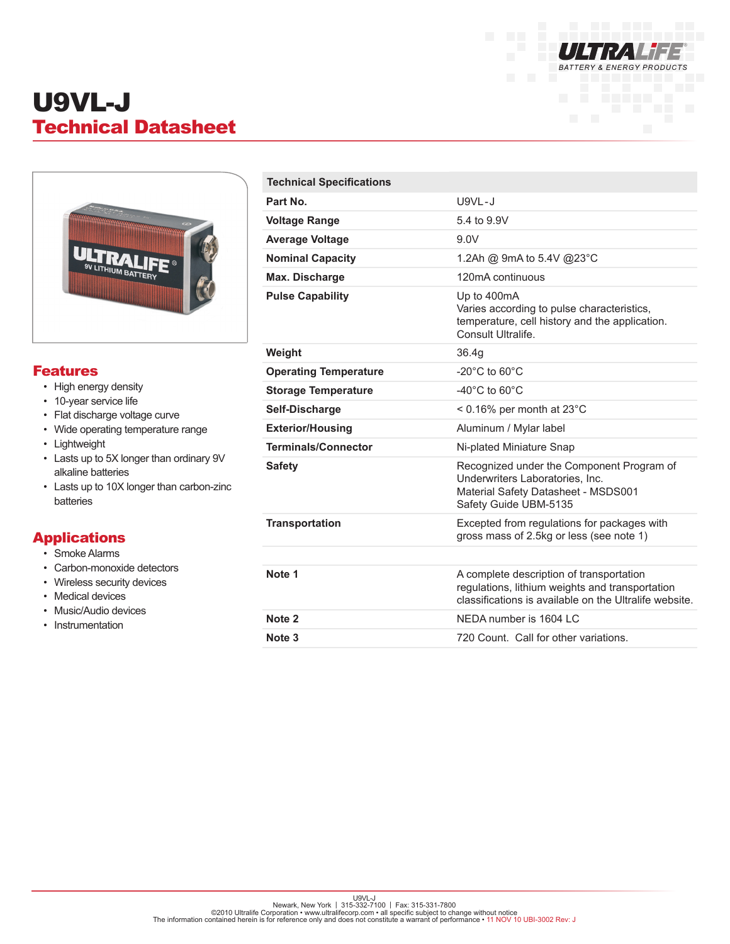

# U9VL-J Technical Datasheet



#### Features

- High energy density
- 10-year service life
- Flat discharge voltage curve
- Wide operating temperature range
- Lightweight
- Lasts up to 5X longer than ordinary 9V alkaline batteries
- Lasts up to 10X longer than carbon-zinc batteries

### Applications

- Smoke Alarms
- Carbon-monoxide detectors
- Wireless security devices
- Medical devices
- Music/Audio devices
- Instrumentation

| <b>Technical Specifications</b> |                                                                                                                                                       |
|---------------------------------|-------------------------------------------------------------------------------------------------------------------------------------------------------|
| Part No.                        | $U9VL-J$                                                                                                                                              |
| <b>Voltage Range</b>            | 5.4 to 9.9V                                                                                                                                           |
| <b>Average Voltage</b>          | 9.0V                                                                                                                                                  |
| <b>Nominal Capacity</b>         | 1.2Ah @ 9mA to 5.4V @23°C                                                                                                                             |
| Max. Discharge                  | 120mA continuous                                                                                                                                      |
| <b>Pulse Capability</b>         | Up to 400mA<br>Varies according to pulse characteristics,<br>temperature, cell history and the application.<br>Consult Ultralife.                     |
| Weight                          | 36.4q                                                                                                                                                 |
| <b>Operating Temperature</b>    | $-20^{\circ}$ C to 60 $^{\circ}$ C                                                                                                                    |
| <b>Storage Temperature</b>      | -40 $^{\circ}$ C to 60 $^{\circ}$ C                                                                                                                   |
| Self-Discharge                  | $< 0.16\%$ per month at 23 $^{\circ}$ C                                                                                                               |
| <b>Exterior/Housing</b>         | Aluminum / Mylar label                                                                                                                                |
| <b>Terminals/Connector</b>      | Ni-plated Miniature Snap                                                                                                                              |
| <b>Safety</b>                   | Recognized under the Component Program of<br>Underwriters Laboratories, Inc.<br>Material Safety Datasheet - MSDS001<br>Safety Guide UBM-5135          |
| <b>Transportation</b>           | Excepted from regulations for packages with<br>gross mass of 2.5kg or less (see note 1)                                                               |
|                                 |                                                                                                                                                       |
| Note 1                          | A complete description of transportation<br>regulations, lithium weights and transportation<br>classifications is available on the Ultralife website. |
| Note 2                          | NEDA number is 1604 LC                                                                                                                                |
| Note 3                          | 720 Count. Call for other variations.                                                                                                                 |